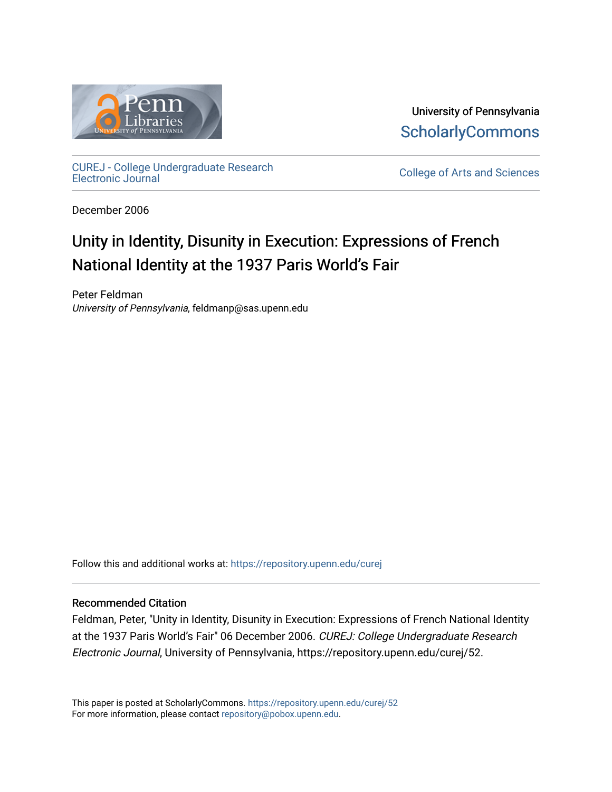

University of Pennsylvania **ScholarlyCommons** 

[CUREJ - College Undergraduate Research](https://repository.upenn.edu/curej) 

College of Arts and Sciences

December 2006

# Unity in Identity, Disunity in Execution: Expressions of French National Identity at the 1937 Paris World's Fair

Peter Feldman University of Pennsylvania, feldmanp@sas.upenn.edu

Follow this and additional works at: [https://repository.upenn.edu/curej](https://repository.upenn.edu/curej?utm_source=repository.upenn.edu%2Fcurej%2F52&utm_medium=PDF&utm_campaign=PDFCoverPages)

#### Recommended Citation

Feldman, Peter, "Unity in Identity, Disunity in Execution: Expressions of French National Identity at the 1937 Paris World's Fair" 06 December 2006. CUREJ: College Undergraduate Research Electronic Journal, University of Pennsylvania, https://repository.upenn.edu/curej/52.

This paper is posted at ScholarlyCommons.<https://repository.upenn.edu/curej/52> For more information, please contact [repository@pobox.upenn.edu.](mailto:repository@pobox.upenn.edu)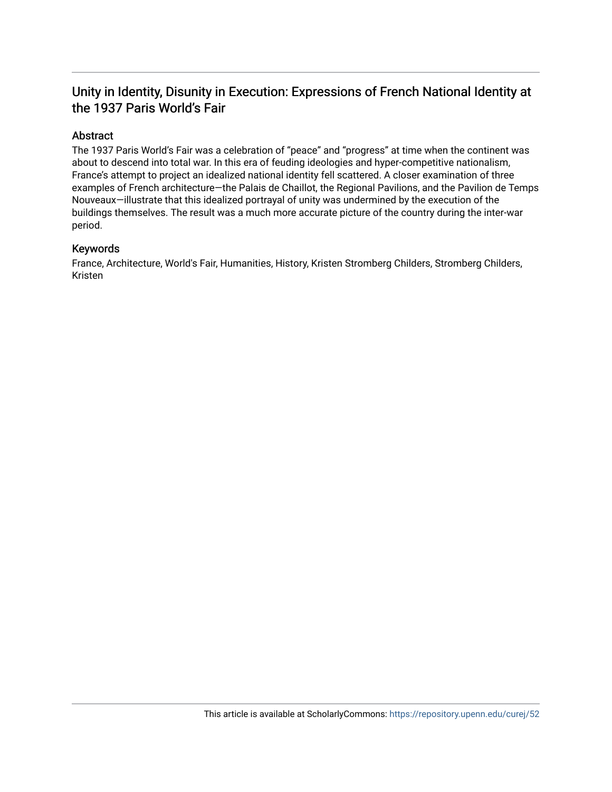## Unity in Identity, Disunity in Execution: Expressions of French National Identity at the 1937 Paris World's Fair

### Abstract

The 1937 Paris World's Fair was a celebration of "peace" and "progress" at time when the continent was about to descend into total war. In this era of feuding ideologies and hyper-competitive nationalism, France's attempt to project an idealized national identity fell scattered. A closer examination of three examples of French architecture—the Palais de Chaillot, the Regional Pavilions, and the Pavilion de Temps Nouveaux—illustrate that this idealized portrayal of unity was undermined by the execution of the buildings themselves. The result was a much more accurate picture of the country during the inter-war period.

#### Keywords

France, Architecture, World's Fair, Humanities, History, Kristen Stromberg Childers, Stromberg Childers, Kristen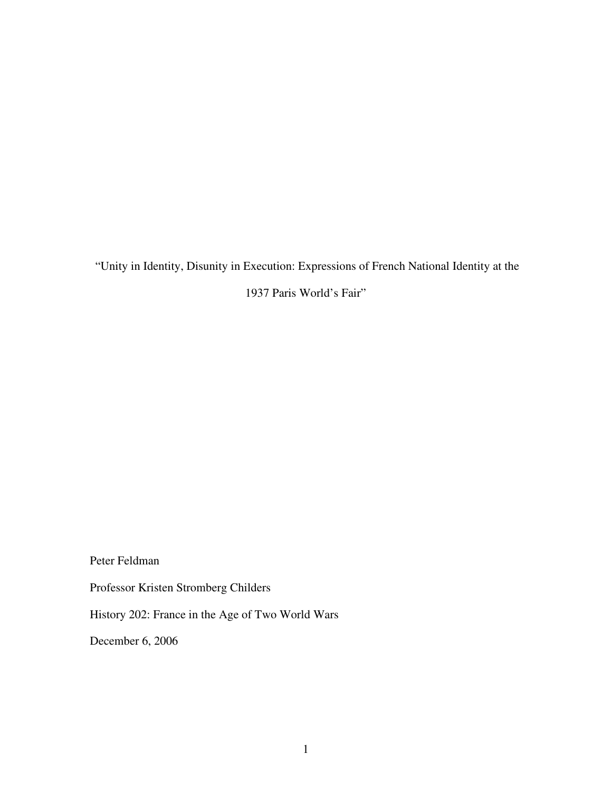"Unity in Identity, Disunity in Execution: Expressions of French National Identity at the

1937 Paris World's Fair"

Peter Feldman

Professor Kristen Stromberg Childers

History 202: France in the Age of Two World Wars

December 6, 2006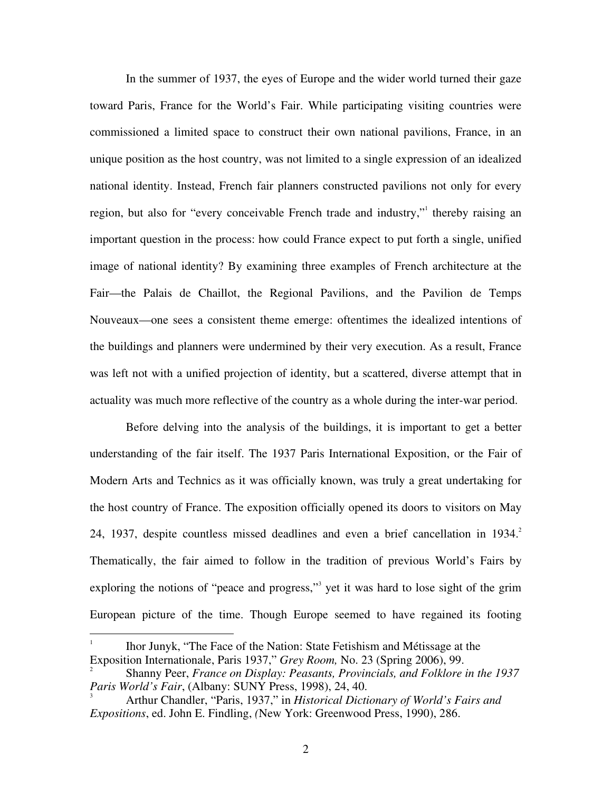In the summer of 1937, the eyes of Europe and the wider world turned their gaze toward Paris, France for the World's Fair. While participating visiting countries were commissioned a limited space to construct their own national pavilions, France, in an unique position as the host country, was not limited to a single expression of an idealized national identity. Instead, French fair planners constructed pavilions not only for every region, but also for "every conceivable French trade and industry," thereby raising an important question in the process: how could France expect to put forth a single, unified image of national identity? By examining three examples of French architecture at the Fair—the Palais de Chaillot, the Regional Pavilions, and the Pavilion de Temps Nouveaux—one sees a consistent theme emerge: oftentimes the idealized intentions of the buildings and planners were undermined by their very execution. As a result, France was left not with a unified projection of identity, but a scattered, diverse attempt that in actuality was much more reflective of the country as a whole during the inter-war period.

Before delving into the analysis of the buildings, it is important to get a better understanding of the fair itself. The 1937 Paris International Exposition, or the Fair of Modern Arts and Technics as it was officially known, was truly a great undertaking for the host country of France. The exposition officially opened its doors to visitors on May 24, 1937, despite countless missed deadlines and even a brief cancellation in 1934. 2 Thematically, the fair aimed to follow in the tradition of previous World's Fairs by exploring the notions of "peace and progress," yet it was hard to lose sight of the grim European picture of the time. Though Europe seemed to have regained its footing

<sup>1</sup> Ihor Junyk, "The Face of the Nation: State Fetishism and Métissage at the Exposition Internationale, Paris 1937," *Grey Room,* No. 23 (Spring 2006), 99. 2

Shanny Peer, *France on Display: Peasants, Provincials, and Folklore in the 1937 Paris World's Fair*, (Albany: SUNY Press, 1998), 24, 40.

<sup>3</sup> Arthur Chandler, "Paris, 1937," in *Historical Dictionary of World's Fairs and Expositions*, ed. John E. Findling, *(*New York: Greenwood Press, 1990), 286.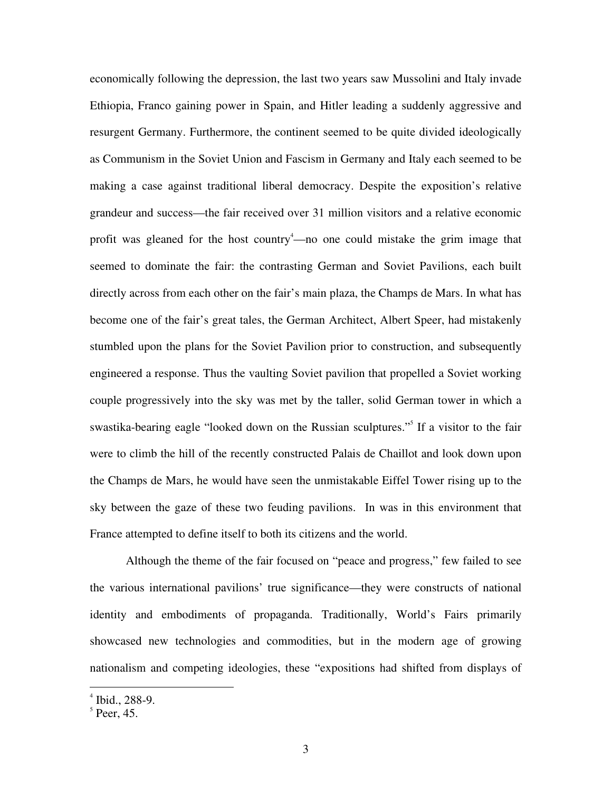economically following the depression, the last two years saw Mussolini and Italy invade Ethiopia, Franco gaining power in Spain, and Hitler leading a suddenly aggressive and resurgent Germany. Furthermore, the continent seemed to be quite divided ideologically as Communism in the Soviet Union and Fascism in Germany and Italy each seemed to be making a case against traditional liberal democracy. Despite the exposition's relative grandeur and success—the fair received over 31 million visitors and a relative economic profit was gleaned for the host country<sup>4</sup>—no one could mistake the grim image that seemed to dominate the fair: the contrasting German and Soviet Pavilions, each built directly across from each other on the fair's main plaza, the Champs de Mars. In what has become one of the fair's great tales, the German Architect, Albert Speer, had mistakenly stumbled upon the plans for the Soviet Pavilion prior to construction, and subsequently engineered a response. Thus the vaulting Soviet pavilion that propelled a Soviet working couple progressively into the sky was met by the taller, solid German tower in which a swastika-bearing eagle "looked down on the Russian sculptures."<sup>5</sup> If a visitor to the fair were to climb the hill of the recently constructed Palais de Chaillot and look down upon the Champs de Mars, he would have seen the unmistakable Eiffel Tower rising up to the sky between the gaze of these two feuding pavilions. In was in this environment that France attempted to define itself to both its citizens and the world.

Although the theme of the fair focused on "peace and progress," few failed to see the various international pavilions' true significance—they were constructs of national identity and embodiments of propaganda. Traditionally, World's Fairs primarily showcased new technologies and commodities, but in the modern age of growing nationalism and competing ideologies, these "expositions had shifted from displays of

 $4$  Ibid., 288-9.

 $<sup>5</sup>$  Peer, 45.</sup>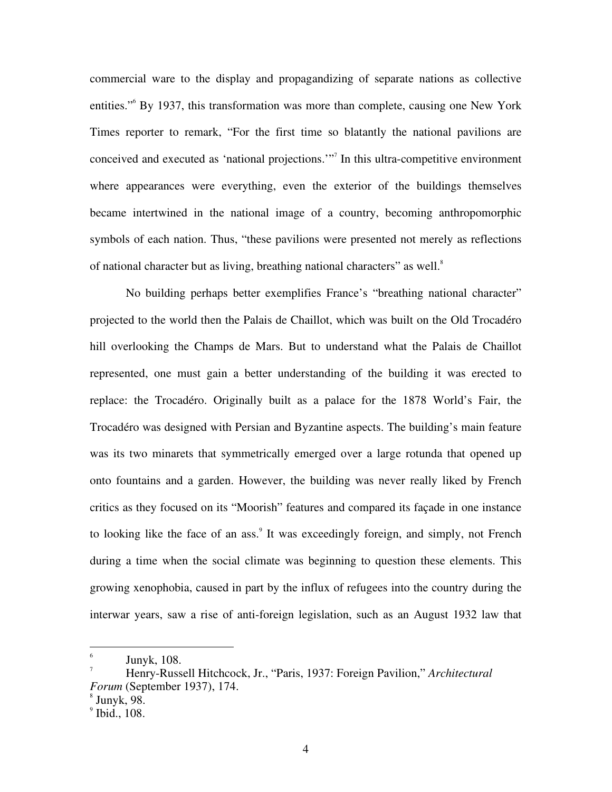commercial ware to the display and propagandizing of separate nations as collective entities." <sup>6</sup> By 1937, this transformation was more than complete, causing one New York Times reporter to remark, "For the first time so blatantly the national pavilions are conceived and executed as 'national projections.'" 7 In this ultra-competitive environment where appearances were everything, even the exterior of the buildings themselves became intertwined in the national image of a country, becoming anthropomorphic symbols of each nation. Thus, "these pavilions were presented not merely as reflections of national character but as living, breathing national characters" as well.

No building perhaps better exemplifies France's "breathing national character" projected to the world then the Palais de Chaillot, which was built on the Old Trocadéro hill overlooking the Champs de Mars. But to understand what the Palais de Chaillot represented, one must gain a better understanding of the building it was erected to replace: the Trocadéro. Originally built as a palace for the 1878 World's Fair, the Trocadéro was designed with Persian and Byzantine aspects. The building's main feature was its two minarets that symmetrically emerged over a large rotunda that opened up onto fountains and a garden. However, the building was never really liked by French critics as they focused on its "Moorish" features and compared its façade in one instance to looking like the face of an ass.<sup>9</sup> It was exceedingly foreign, and simply, not French during a time when the social climate was beginning to question these elements. This growing xenophobia, caused in part by the influx of refugees into the country during the interwar years, saw a rise of anti-foreign legislation, such as an August 1932 law that

 $^6$  Junyk, 108.

<sup>7</sup> Henry-Russell Hitchcock, Jr., "Paris, 1937: Foreign Pavilion," *Architectural Forum* (September 1937), 174.

 $\mathrm{^{8}}$  Junyk, 98.

 $<sup>9</sup>$  Ibid., 108.</sup>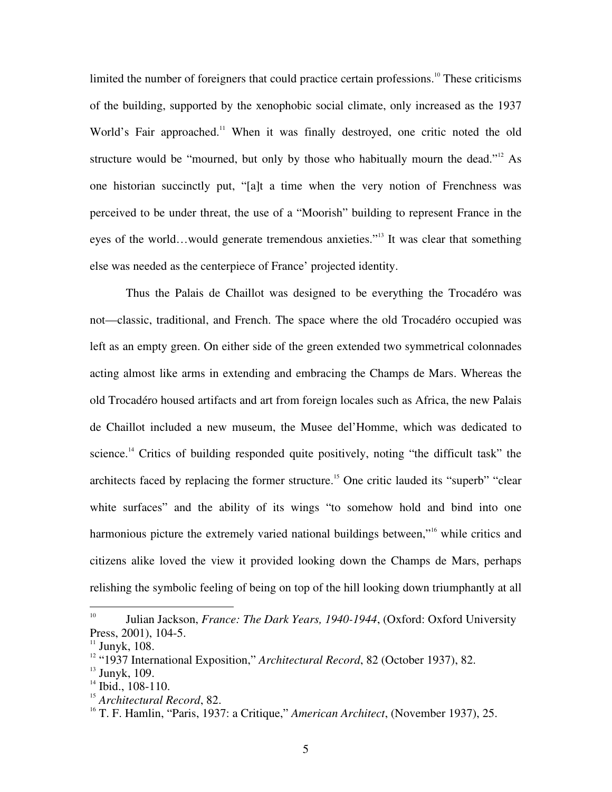limited the number of foreigners that could practice certain professions.<sup>10</sup> These criticisms of the building, supported by the xenophobic social climate, only increased as the 1937 World's Fair approached.<sup>11</sup> When it was finally destroyed, one critic noted the old structure would be "mourned, but only by those who habitually mourn the dead."<sup>12</sup> As one historian succinctly put, "[a]t a time when the very notion of Frenchness was perceived to be under threat, the use of a "Moorish" building to represent France in the eyes of the world...would generate tremendous anxieties."<sup>13</sup> It was clear that something else was needed as the centerpiece of France' projected identity.

Thus the Palais de Chaillot was designed to be everything the Trocadéro was not—classic, traditional, and French. The space where the old Trocadéro occupied was left as an empty green. On either side of the green extended two symmetrical colonnades acting almost like arms in extending and embracing the Champs de Mars. Whereas the old Trocadéro housed artifacts and art from foreign locales such as Africa, the new Palais de Chaillot included a new museum, the Musee del'Homme, which was dedicated to science.<sup>14</sup> Critics of building responded quite positively, noting "the difficult task" the architects faced by replacing the former structure.<sup>15</sup> One critic lauded its "superb" "clear white surfaces" and the ability of its wings "to somehow hold and bind into one harmonious picture the extremely varied national buildings between,"<sup>16</sup> while critics and citizens alike loved the view it provided looking down the Champs de Mars, perhaps relishing the symbolic feeling of being on top of the hill looking down triumphantly at all

<sup>10</sup> Julian Jackson, *France: The Dark Years, 1940-1944*, (Oxford: Oxford University Press, 2001), 104-5.

 $11$  Junyk, 108.

<sup>&</sup>lt;sup>12</sup> "1937 International Exposition," *Architectural Record*, 82 (October 1937), 82.

<sup>&</sup>lt;sup>13</sup> Junyk, 109.<br><sup>14</sup> Ibid, 108, 1

 $14$  Ibid., 108-110.

<sup>&</sup>lt;sup>15</sup> Architectural Record, 82.

T. F. Hamlin, "Paris, 1937: a Critique," *American Architect*, (November 1937), 25.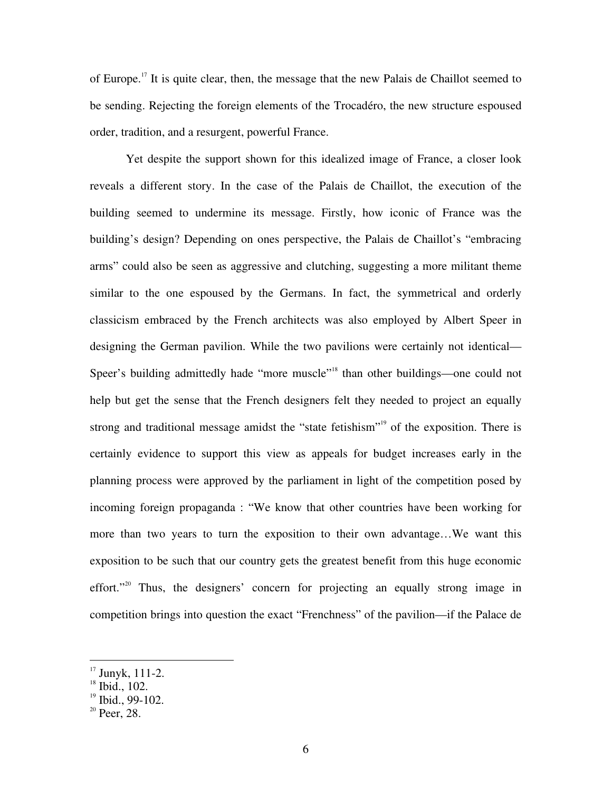of Europe.<sup>17</sup> It is quite clear, then, the message that the new Palais de Chaillot seemed to be sending. Rejecting the foreign elements of the Trocadéro, the new structure espoused order, tradition, and a resurgent, powerful France.

Yet despite the support shown for this idealized image of France, a closer look reveals a different story. In the case of the Palais de Chaillot, the execution of the building seemed to undermine its message. Firstly, how iconic of France was the building's design? Depending on ones perspective, the Palais de Chaillot's "embracing arms" could also be seen as aggressive and clutching, suggesting a more militant theme similar to the one espoused by the Germans. In fact, the symmetrical and orderly classicism embraced by the French architects was also employed by Albert Speer in designing the German pavilion. While the two pavilions were certainly not identical— Speer's building admittedly hade "more muscle"<sup>18</sup> than other buildings—one could not help but get the sense that the French designers felt they needed to project an equally strong and traditional message amidst the "state fetishism"<sup>19</sup> of the exposition. There is certainly evidence to support this view as appeals for budget increases early in the planning process were approved by the parliament in light of the competition posed by incoming foreign propaganda : "We know that other countries have been working for more than two years to turn the exposition to their own advantage…We want this exposition to be such that our country gets the greatest benefit from this huge economic effort."<sup>20</sup> Thus, the designers' concern for projecting an equally strong image in competition brings into question the exact "Frenchness" of the pavilion—if the Palace de

 $^{17}$  Junyk, 111-2.

<sup>&</sup>lt;sup>18</sup> Ibid., 102.

 $19$  Ibid., 99-102.

 $20$  Peer, 28.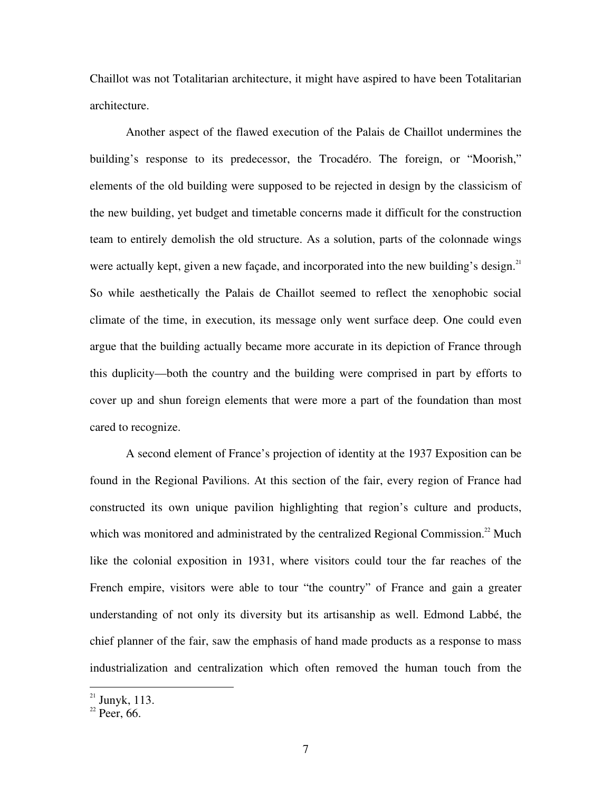Chaillot was not Totalitarian architecture, it might have aspired to have been Totalitarian architecture.

Another aspect of the flawed execution of the Palais de Chaillot undermines the building's response to its predecessor, the Trocadéro. The foreign, or "Moorish," elements of the old building were supposed to be rejected in design by the classicism of the new building, yet budget and timetable concerns made it difficult for the construction team to entirely demolish the old structure. As a solution, parts of the colonnade wings were actually kept, given a new façade, and incorporated into the new building's design.<sup>21</sup> So while aesthetically the Palais de Chaillot seemed to reflect the xenophobic social climate of the time, in execution, its message only went surface deep. One could even argue that the building actually became more accurate in its depiction of France through this duplicity—both the country and the building were comprised in part by efforts to cover up and shun foreign elements that were more a part of the foundation than most cared to recognize.

A second element of France's projection of identity at the 1937 Exposition can be found in the Regional Pavilions. At this section of the fair, every region of France had constructed its own unique pavilion highlighting that region's culture and products, which was monitored and administrated by the centralized Regional Commission.<sup>22</sup> Much like the colonial exposition in 1931, where visitors could tour the far reaches of the French empire, visitors were able to tour "the country" of France and gain a greater understanding of not only its diversity but its artisanship as well. Edmond Labbé, the chief planner of the fair, saw the emphasis of hand made products as a response to mass industrialization and centralization which often removed the human touch from the

 $2^{21}$  Junyk, 113.<br> $2^{22}$  Peer, 66.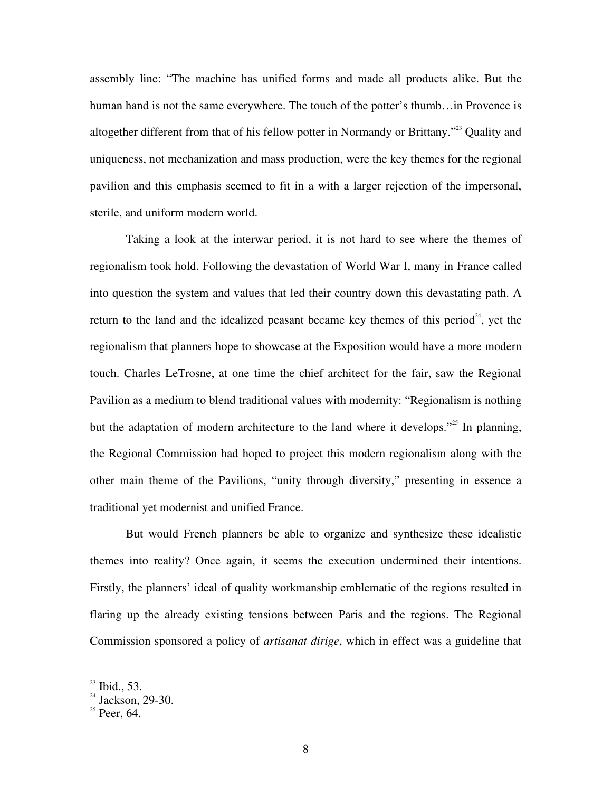assembly line: "The machine has unified forms and made all products alike. But the human hand is not the same everywhere. The touch of the potter's thumb…in Provence is altogether different from that of his fellow potter in Normandy or Brittany."<sup>23</sup> Quality and uniqueness, not mechanization and mass production, were the key themes for the regional pavilion and this emphasis seemed to fit in a with a larger rejection of the impersonal, sterile, and uniform modern world.

Taking a look at the interwar period, it is not hard to see where the themes of regionalism took hold. Following the devastation of World War I, many in France called into question the system and values that led their country down this devastating path. A return to the land and the idealized peasant became key themes of this period<sup>24</sup>, yet the regionalism that planners hope to showcase at the Exposition would have a more modern touch. Charles LeTrosne, at one time the chief architect for the fair, saw the Regional Pavilion as a medium to blend traditional values with modernity: "Regionalism is nothing but the adaptation of modern architecture to the land where it develops."<sup>25</sup> In planning, the Regional Commission had hoped to project this modern regionalism along with the other main theme of the Pavilions, "unity through diversity," presenting in essence a traditional yet modernist and unified France.

But would French planners be able to organize and synthesize these idealistic themes into reality? Once again, it seems the execution undermined their intentions. Firstly, the planners' ideal of quality workmanship emblematic of the regions resulted in flaring up the already existing tensions between Paris and the regions. The Regional Commission sponsored a policy of *artisanat dirige*, which in effect was a guideline that

 $^{23}$  Ibid., 53.

 $24$  Jackson, 29-30.

 $25$  Peer, 64.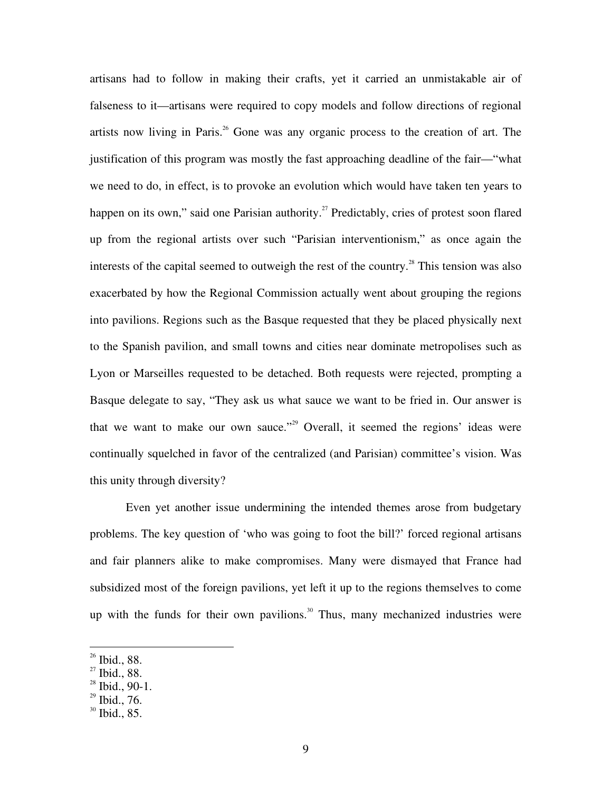artisans had to follow in making their crafts, yet it carried an unmistakable air of falseness to it—artisans were required to copy models and follow directions of regional artists now living in Paris. <sup>26</sup> Gone was any organic process to the creation of art. The justification of this program was mostly the fast approaching deadline of the fair—"what we need to do, in effect, is to provoke an evolution which would have taken ten years to happen on its own," said one Parisian authority.<sup>27</sup> Predictably, cries of protest soon flared up from the regional artists over such "Parisian interventionism," as once again the interests of the capital seemed to outweigh the rest of the country.<sup>28</sup> This tension was also exacerbated by how the Regional Commission actually went about grouping the regions into pavilions. Regions such as the Basque requested that they be placed physically next to the Spanish pavilion, and small towns and cities near dominate metropolises such as Lyon or Marseilles requested to be detached. Both requests were rejected, prompting a Basque delegate to say, "They ask us what sauce we want to be fried in. Our answer is that we want to make our own sauce."<sup>29</sup> Overall, it seemed the regions' ideas were continually squelched in favor of the centralized (and Parisian) committee's vision. Was this unity through diversity?

Even yet another issue undermining the intended themes arose from budgetary problems. The key question of 'who was going to foot the bill?' forced regional artisans and fair planners alike to make compromises. Many were dismayed that France had subsidized most of the foreign pavilions, yet left it up to the regions themselves to come up with the funds for their own pavilions.<sup>30</sup> Thus, many mechanized industries were

 $26$  Ibid., 88.

<sup>&</sup>lt;sup>27</sup> Ibid., 88.

 $^{28}$  Ibid., 90-1.

 $29$  Ibid., 76.

 $30$  Ibid., 85.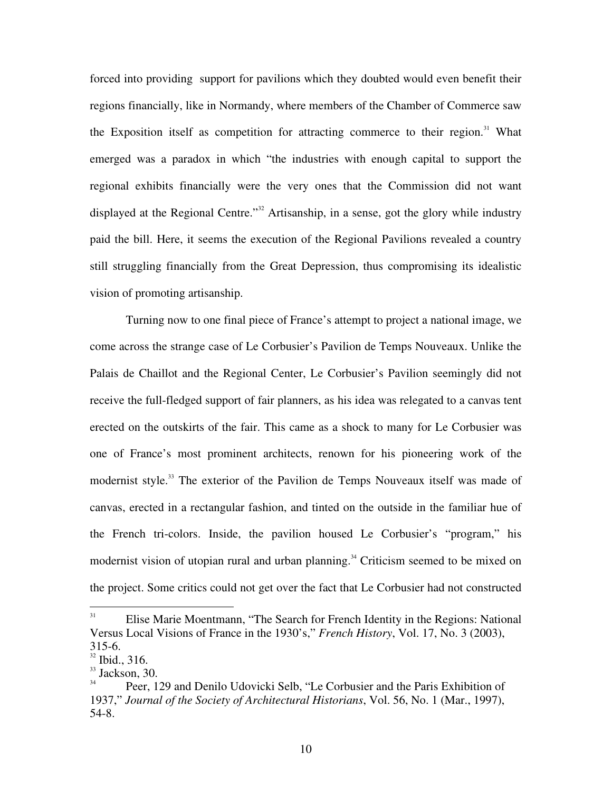forced into providing support for pavilions which they doubted would even benefit their regions financially, like in Normandy, where members of the Chamber of Commerce saw the Exposition itself as competition for attracting commerce to their region.<sup>31</sup> What emerged was a paradox in which "the industries with enough capital to support the regional exhibits financially were the very ones that the Commission did not want displayed at the Regional Centre."<sup>32</sup> Artisanship, in a sense, got the glory while industry paid the bill. Here, it seems the execution of the Regional Pavilions revealed a country still struggling financially from the Great Depression, thus compromising its idealistic vision of promoting artisanship.

Turning now to one final piece of France's attempt to project a national image, we come across the strange case of Le Corbusier's Pavilion de Temps Nouveaux. Unlike the Palais de Chaillot and the Regional Center, Le Corbusier's Pavilion seemingly did not receive the full-fledged support of fair planners, as his idea was relegated to a canvas tent erected on the outskirts of the fair. This came as a shock to many for Le Corbusier was one of France's most prominent architects, renown for his pioneering work of the modernist style.<sup>33</sup> The exterior of the Pavilion de Temps Nouveaux itself was made of canvas, erected in a rectangular fashion, and tinted on the outside in the familiar hue of the French tri-colors. Inside, the pavilion housed Le Corbusier's "program," his modernist vision of utopian rural and urban planning.<sup>34</sup> Criticism seemed to be mixed on the project. Some critics could not get over the fact that Le Corbusier had not constructed

<sup>31</sup> Elise Marie Moentmann, "The Search for French Identity in the Regions: National Versus Local Visions of France in the 1930's," *French History*, Vol. 17, No. 3 (2003), 315-6.

<sup>&</sup>lt;sup>32</sup> Ibid., 316.

 $\frac{33}{34}$  Jackson, 30.

Peer, 129 and Denilo Udovicki Selb, "Le Corbusier and the Paris Exhibition of 1937," *Journal of the Society of Architectural Historians*, Vol. 56, No. 1 (Mar., 1997), 54-8.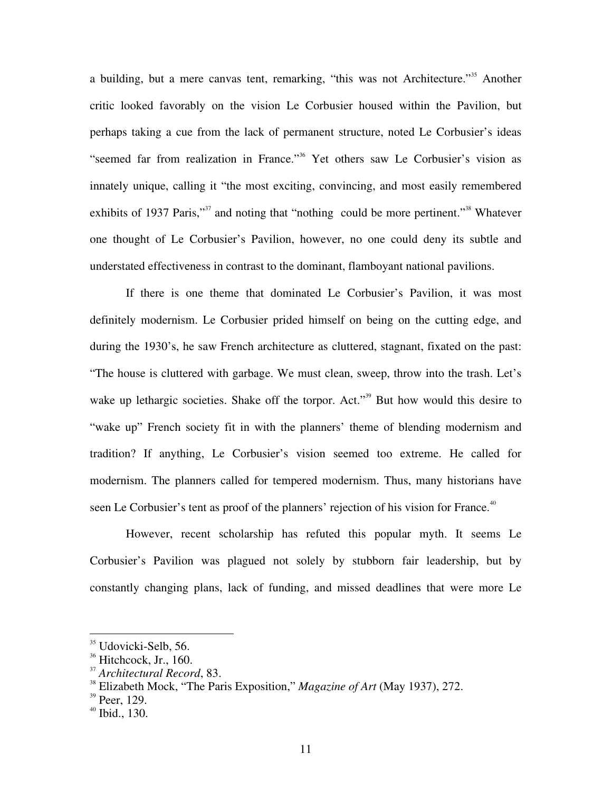a building, but a mere canvas tent, remarking, "this was not Architecture."<sup>35</sup> Another critic looked favorably on the vision Le Corbusier housed within the Pavilion, but perhaps taking a cue from the lack of permanent structure, noted Le Corbusier's ideas "seemed far from realization in France."<sup>36</sup> Yet others saw Le Corbusier's vision as innately unique, calling it "the most exciting, convincing, and most easily remembered exhibits of 1937 Paris,"<sup>37</sup> and noting that "nothing could be more pertinent."<sup>38</sup> Whatever one thought of Le Corbusier's Pavilion, however, no one could deny its subtle and understated effectiveness in contrast to the dominant, flamboyant national pavilions.

If there is one theme that dominated Le Corbusier's Pavilion, it was most definitely modernism. Le Corbusier prided himself on being on the cutting edge, and during the 1930's, he saw French architecture as cluttered, stagnant, fixated on the past: "The house is cluttered with garbage. We must clean, sweep, throw into the trash. Let's wake up lethargic societies. Shake off the torpor. Act."<sup>39</sup> But how would this desire to "wake up" French society fit in with the planners' theme of blending modernism and tradition? If anything, Le Corbusier's vision seemed too extreme. He called for modernism. The planners called for tempered modernism. Thus, many historians have seen Le Corbusier's tent as proof of the planners' rejection of his vision for France.<sup>40</sup>

However, recent scholarship has refuted this popular myth. It seems Le Corbusier's Pavilion was plagued not solely by stubborn fair leadership, but by constantly changing plans, lack of funding, and missed deadlines that were more Le

<sup>35</sup> Udovicki-Selb, 56.

 $36$  Hitchcock, Jr., 160.

<sup>&</sup>lt;sup>37</sup> Architectural Record, 83.<br><sup>38</sup> Elizabeth Maels, "The Bea

Elizabeth Mock, "The Paris Exposition," *Magazine of Art* (May 1937), 272.

 $39$  Peer, 129.

 $40$  Ibid., 130.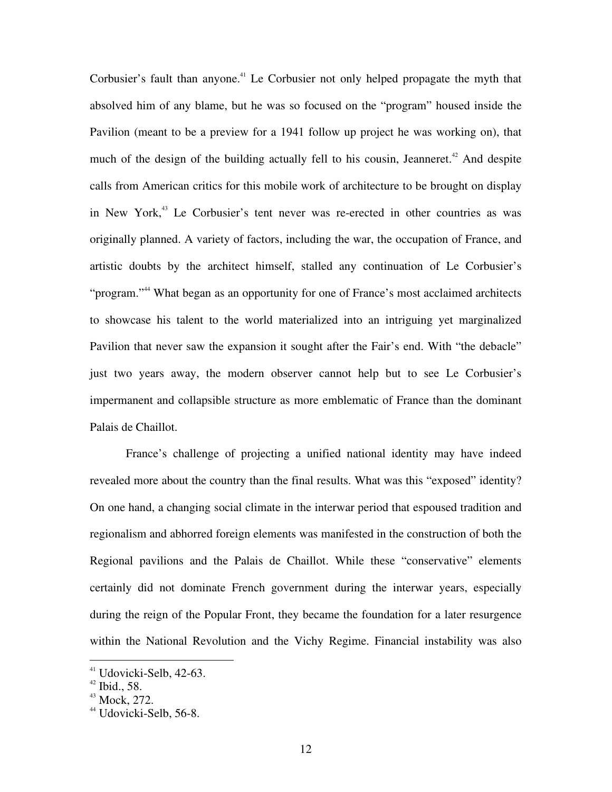Corbusier's fault than anyone.<sup>41</sup> Le Corbusier not only helped propagate the myth that absolved him of any blame, but he was so focused on the "program" housed inside the Pavilion (meant to be a preview for a 1941 follow up project he was working on), that much of the design of the building actually fell to his cousin, Jeanneret.<sup>42</sup> And despite calls from American critics for this mobile work of architecture to be brought on display in New York, <sup>43</sup> Le Corbusier's tent never was re-erected in other countries as was originally planned. A variety of factors, including the war, the occupation of France, and artistic doubts by the architect himself, stalled any continuation of Le Corbusier's "program."<sup>44</sup> What began as an opportunity for one of France's most acclaimed architects to showcase his talent to the world materialized into an intriguing yet marginalized Pavilion that never saw the expansion it sought after the Fair's end. With "the debacle" just two years away, the modern observer cannot help but to see Le Corbusier's impermanent and collapsible structure as more emblematic of France than the dominant Palais de Chaillot.

France's challenge of projecting a unified national identity may have indeed revealed more about the country than the final results. What was this "exposed" identity? On one hand, a changing social climate in the interwar period that espoused tradition and regionalism and abhorred foreign elements was manifested in the construction of both the Regional pavilions and the Palais de Chaillot. While these "conservative" elements certainly did not dominate French government during the interwar years, especially during the reign of the Popular Front, they became the foundation for a later resurgence within the National Revolution and the Vichy Regime. Financial instability was also

<sup>&</sup>lt;sup>41</sup> Udovicki-Selb, 42-63.

 $42$  Ibid., 58.

 $43$  Mock, 272.

 $44$  Udovicki-Selb, 56-8.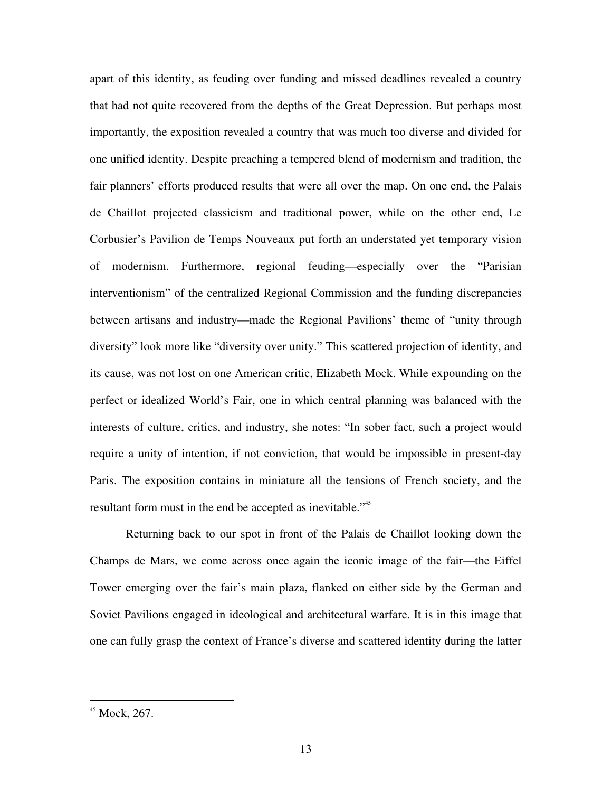apart of this identity, as feuding over funding and missed deadlines revealed a country that had not quite recovered from the depths of the Great Depression. But perhaps most importantly, the exposition revealed a country that was much too diverse and divided for one unified identity. Despite preaching a tempered blend of modernism and tradition, the fair planners' efforts produced results that were all over the map. On one end, the Palais de Chaillot projected classicism and traditional power, while on the other end, Le Corbusier's Pavilion de Temps Nouveaux put forth an understated yet temporary vision of modernism. Furthermore, regional feuding—especially over the "Parisian interventionism" of the centralized Regional Commission and the funding discrepancies between artisans and industry—made the Regional Pavilions' theme of "unity through diversity" look more like "diversity over unity." This scattered projection of identity, and its cause, was not lost on one American critic, Elizabeth Mock. While expounding on the perfect or idealized World's Fair, one in which central planning was balanced with the interests of culture, critics, and industry, she notes: "In sober fact, such a project would require a unity of intention, if not conviction, that would be impossible in present-day Paris. The exposition contains in miniature all the tensions of French society, and the resultant form must in the end be accepted as inevitable."<sup>45</sup>

Returning back to our spot in front of the Palais de Chaillot looking down the Champs de Mars, we come across once again the iconic image of the fair—the Eiffel Tower emerging over the fair's main plaza, flanked on either side by the German and Soviet Pavilions engaged in ideological and architectural warfare. It is in this image that one can fully grasp the context of France's diverse and scattered identity during the latter

<sup>45</sup> Mock, 267.